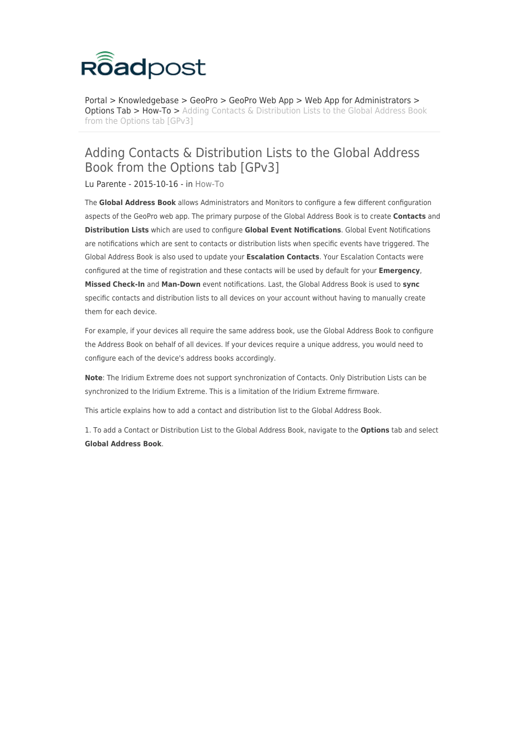

[Portal](https://roadpost.deskpro.com/) > [Knowledgebase](https://roadpost.deskpro.com/kb) > [GeoPro](https://roadpost.deskpro.com/kb/geopro-3) > [GeoPro Web App](https://roadpost.deskpro.com/kb/geopro-web-app) > [Web App for Administrators](https://roadpost.deskpro.com/kb/web-app-for-administrators) > **[Options Tab](https://roadpost.deskpro.com/kb/options-tab-2) > [How-To](https://roadpost.deskpro.com/kb/how-to-6) >** [Adding Contacts & Distribution Lists to the Global Address Book](https://roadpost.deskpro.com/kb/articles/adding-contacts-distribution-lists-to-the-global-address-book-from-the-options-tab-gpv3) [from the Options tab \[GPv3\]](https://roadpost.deskpro.com/kb/articles/adding-contacts-distribution-lists-to-the-global-address-book-from-the-options-tab-gpv3)

## Adding Contacts & Distribution Lists to the Global Address Book from the Options tab [GPv3]

Lu Parente - 2015-10-16 - in [How-To](https://roadpost.deskpro.com/kb/how-to-6)

The **Global Address Book** allows Administrators and Monitors to configure a few different configuration aspects of the GeoPro web app. The primary purpose of the Global Address Book is to create **Contacts** and **Distribution Lists** which are used to configure **Global Event Notifications**. Global Event Notifications are notifications which are sent to contacts or distribution lists when specific events have triggered. The Global Address Book is also used to update your **Escalation Contacts**. Your Escalation Contacts were configured at the time of registration and these contacts will be used by default for your **Emergency**, **Missed Check-In** and **Man-Down** event notifications. Last, the Global Address Book is used to **sync** specific contacts and distribution lists to all devices on your account without having to manually create them for each device.

For example, if your devices all require the same address book, use the Global Address Book to configure the Address Book on behalf of all devices. If your devices require a unique address, you would need to configure each of the device's address books accordingly.

**Note**: The Iridium Extreme does not support synchronization of Contacts. Only Distribution Lists can be synchronized to the Iridium Extreme. This is a limitation of the Iridium Extreme firmware.

This article explains how to add a contact and distribution list to the Global Address Book.

1. To add a Contact or Distribution List to the Global Address Book, navigate to the **Options** tab and select **Global Address Book**.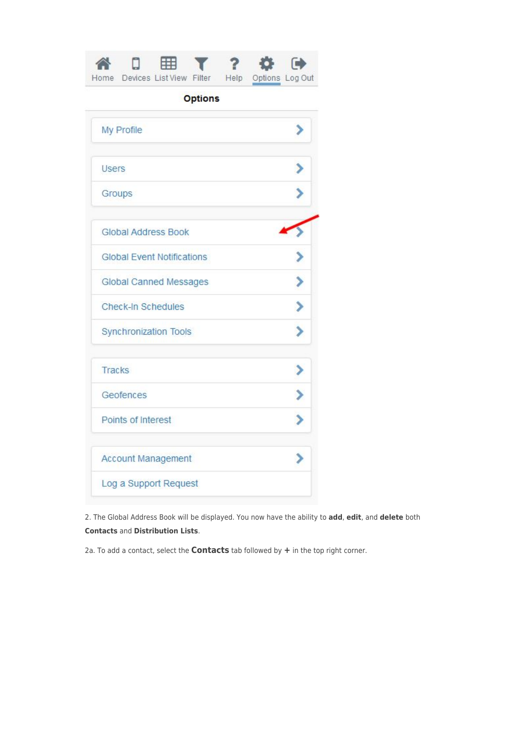| <b>Options</b>                    |  |
|-----------------------------------|--|
| My Profile                        |  |
| <b>Users</b>                      |  |
| Groups                            |  |
| <b>Global Address Book</b>        |  |
| <b>Global Event Notifications</b> |  |
| Global Canned Messages            |  |
| <b>Check-In Schedules</b>         |  |
| Synchronization Tools             |  |
| Tracks                            |  |
| Geofences                         |  |
| Points of Interest                |  |
| Account Management                |  |
| Log a Support Request             |  |

2. The Global Address Book will be displayed. You now have the ability to **add**, **edit**, and **delete** both **Contacts** and **Distribution Lists**.

2a. To add a contact, select the **Contacts** tab followed by **+** in the top right corner.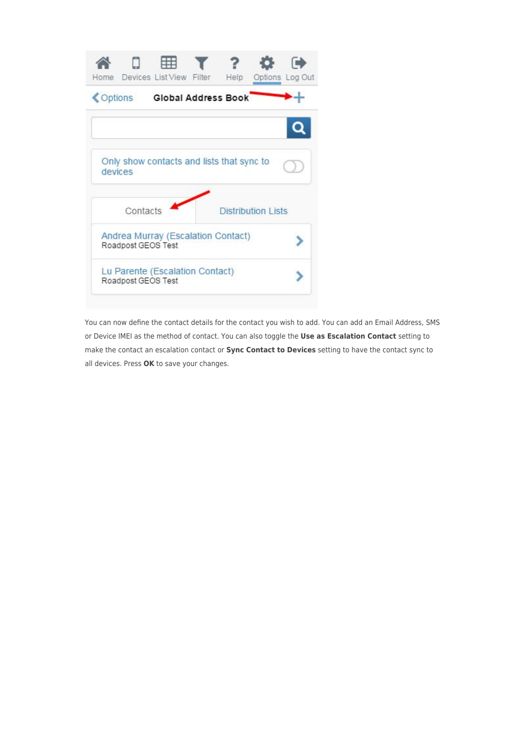

You can now define the contact details for the contact you wish to add. You can add an Email Address, SMS or Device IMEI as the method of contact. You can also toggle the **Use as Escalation Contact** setting to make the contact an escalation contact or **Sync Contact to Devices** setting to have the contact sync to all devices. Press **OK** to save your changes.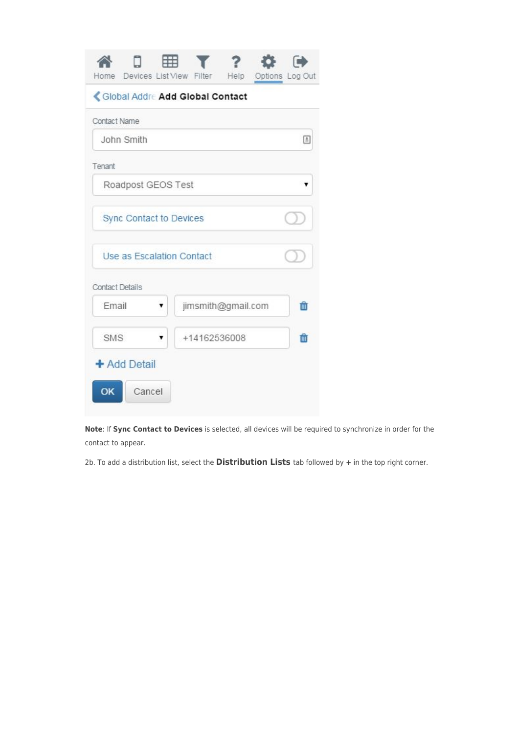| Home Devices List View Filter Help Options Log Out | $\mathcal{X}$ $\mathcal{Z}$ |  |   |
|----------------------------------------------------|-----------------------------|--|---|
| Global Addre Add Global Contact                    |                             |  |   |
| Contact Name                                       |                             |  |   |
| John Smith                                         |                             |  | E |
| Tenant                                             |                             |  |   |
| Roadpost GEOS Test                                 |                             |  |   |
| Sync Contact to Devices                            |                             |  |   |
| Use as Escalation Contact                          |                             |  |   |
| <b>Contact Details</b>                             |                             |  |   |
| Fmail<br>۲                                         | jimsmith@gmail.com          |  | m |
| <b>SMS</b>                                         | +14162536008                |  | m |
| + Add Detail                                       |                             |  |   |
| <b>OK</b><br>Cancel                                |                             |  |   |

**Note**: If **Sync Contact to Devices** is selected, all devices will be required to synchronize in order for the contact to appear.

2b. To add a distribution list, select the **Distribution Lists** tab followed by **+** in the top right corner.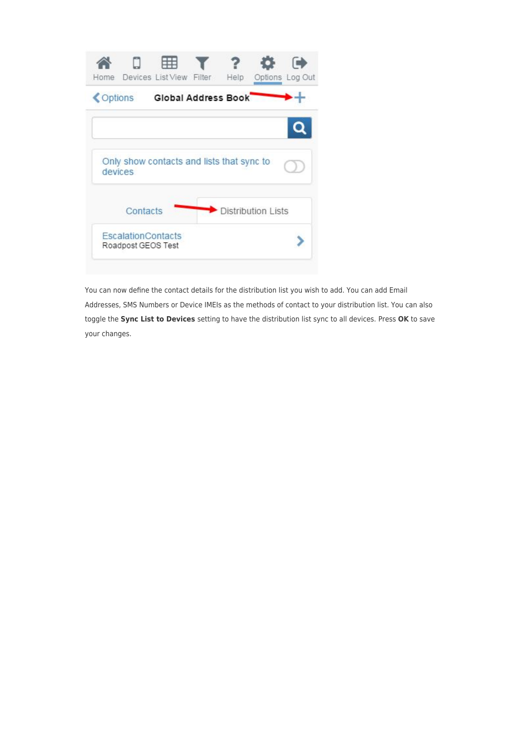| Devices List View Filter<br>Home                     | Help<br>Options Log Out   |
|------------------------------------------------------|---------------------------|
| Global Address Book<br>Options                       |                           |
|                                                      |                           |
| Only show contacts and lists that sync to<br>devices |                           |
| Contacts                                             | <b>Distribution Lists</b> |
| <b>EscalationContacts</b><br>Roadpost GEOS Test      |                           |

You can now define the contact details for the distribution list you wish to add. You can add Email Addresses, SMS Numbers or Device IMEIs as the methods of contact to your distribution list. You can also toggle the **Sync List to Devices** setting to have the distribution list sync to all devices. Press **OK** to save your changes.